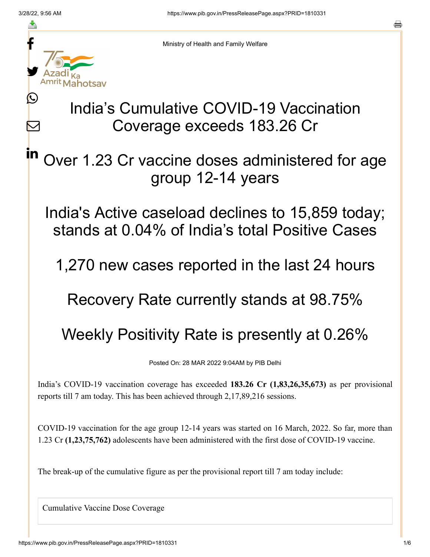≛

L

 $\boldsymbol{\mathsf{M}}$ 

in



Ministry of Health and Family Welfare

# India's Cumulative COVID-19 Vaccination Coverage exceeds 183.26 Cr

Over 1.23 Cr vaccine doses administered for age group 12-14 years

India's Active caseload declines to 15,859 today; stands at 0.04% of India's total Positive Cases

1,270 new cases reported in the last 24 hours

Recovery Rate currently stands at 98.75%

## Weekly Positivity Rate is presently at 0.26%

Posted On: 28 MAR 2022 9:04AM by PIB Delhi

India's COVID-19 vaccination coverage has exceeded **183.26 Cr (1,83,26,35,673)** as per provisional reports till 7 am today. This has been achieved through 2,17,89,216 sessions.

COVID-19 vaccination for the age group 12-14 years was started on 16 March, 2022. So far, more than 1.23 Cr **(1,23,75,762)** adolescents have been administered with the first dose of COVID-19 vaccine.

The break-up of the cumulative figure as per the provisional report till 7 am today include:

Cumulative Vaccine Dose Coverage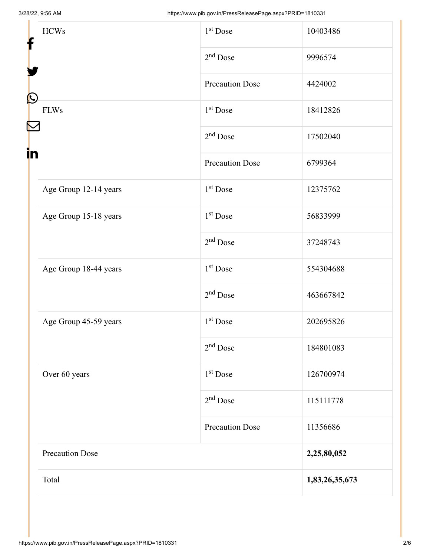| f                  | <b>HCWs</b>            | 1 <sup>st</sup> Dose   | 10403486       |
|--------------------|------------------------|------------------------|----------------|
| $\bf \Omega$<br>in |                        | $2nd$ Dose             | 9996574        |
|                    |                        | <b>Precaution Dose</b> | 4424002        |
|                    | <b>FLWs</b>            | $1st$ Dose             | 18412826       |
|                    |                        | $2nd$ Dose             | 17502040       |
|                    |                        | <b>Precaution Dose</b> | 6799364        |
|                    | Age Group 12-14 years  | $1st$ Dose             | 12375762       |
|                    | Age Group 15-18 years  | $1st$ Dose             | 56833999       |
|                    |                        | $2nd$ Dose             | 37248743       |
|                    | Age Group 18-44 years  | $1st$ Dose             | 554304688      |
|                    |                        | $2nd$ Dose             | 463667842      |
|                    | Age Group 45-59 years  | 1 <sup>st</sup> Dose   | 202695826      |
|                    |                        | $2nd$ Dose             | 184801083      |
|                    | Over 60 years          | $1st$ Dose             | 126700974      |
|                    |                        | $2nd$ Dose             | 115111778      |
|                    |                        | <b>Precaution Dose</b> | 11356686       |
|                    | <b>Precaution Dose</b> |                        | 2,25,80,052    |
|                    | Total                  |                        | 1,83,26,35,673 |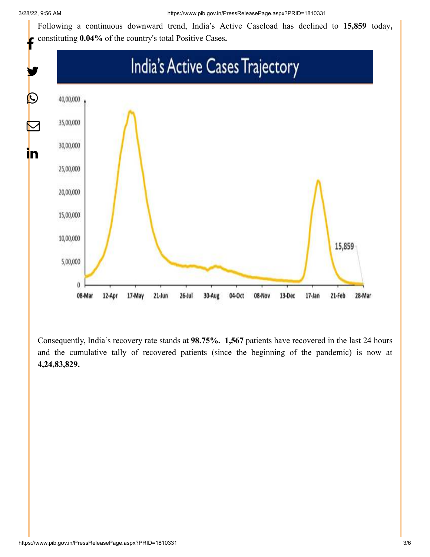Following a continuous downward trend, India's Active Caseload has declined to **15,859** today**,** constituting **0.04%** of the country's total Positive Cases**.**



Consequently, India's recovery rate stands at **98.75%. 1,567** patients have recovered in the last 24 hours and the cumulative tally of recovered patients (since the beginning of the pandemic) is now at **4,24,83,829.**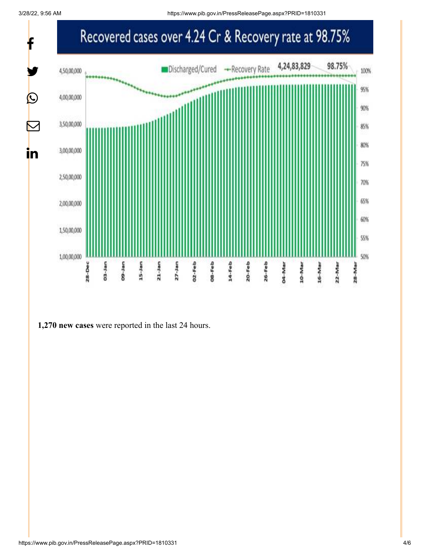3/28/22, 9:56 AM https://www.pib.gov.in/PressReleasePage.aspx?PRID=1810331



#### **1,270 new cases** were reported in the last 24 hours.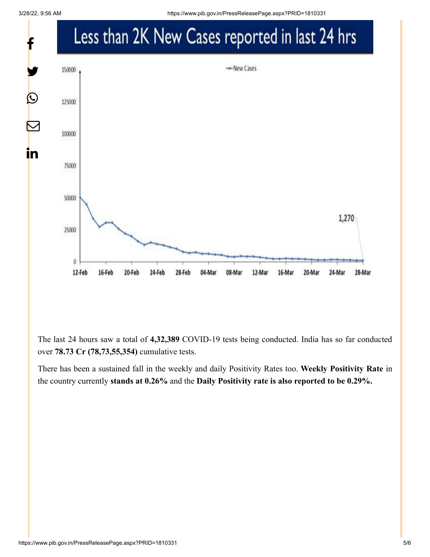

The last 24 hours saw a total of **4,32,389** COVID-19 tests being conducted. India has so far conducted over **78.73 Cr (78,73,55,354)** cumulative tests.

There has been a sustained fall in the weekly and daily Positivity Rates too. **Weekly Positivity Rate** in the country currently **stands at 0.26%** and the **Daily Positivity rate is also reported to be 0.29%.**